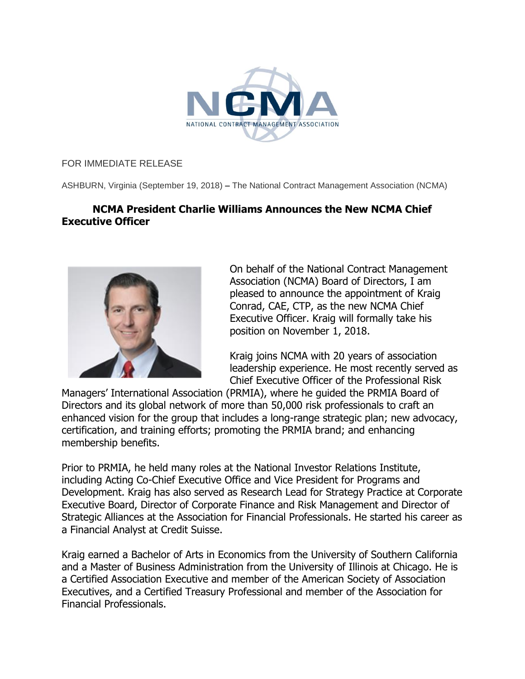

## FOR IMMEDIATE RELEASE

ASHBURN, Virginia (September 19, 2018) **–** The National Contract Management Association (NCMA)

## **NCMA President Charlie Williams Announces the New NCMA Chief Executive Officer**



On behalf of the National Contract Management Association (NCMA) Board of Directors, I am pleased to announce the appointment of Kraig Conrad, CAE, CTP, as the new NCMA Chief Executive Officer. Kraig will formally take his position on November 1, 2018.

Kraig joins NCMA with 20 years of association leadership experience. He most recently served as Chief Executive Officer of the Professional Risk

Managers' International Association (PRMIA), where he guided the PRMIA Board of Directors and its global network of more than 50,000 risk professionals to craft an enhanced vision for the group that includes a long-range strategic plan; new advocacy, certification, and training efforts; promoting the PRMIA brand; and enhancing membership benefits.

Prior to PRMIA, he held many roles at the National Investor Relations Institute, including Acting Co-Chief Executive Office and Vice President for Programs and Development. Kraig has also served as Research Lead for Strategy Practice at Corporate Executive Board, Director of Corporate Finance and Risk Management and Director of Strategic Alliances at the Association for Financial Professionals. He started his career as a Financial Analyst at Credit Suisse.

Kraig earned a Bachelor of Arts in Economics from the University of Southern California and a Master of Business Administration from the University of Illinois at Chicago. He is a Certified Association Executive and member of the American Society of Association Executives, and a Certified Treasury Professional and member of the Association for Financial Professionals.